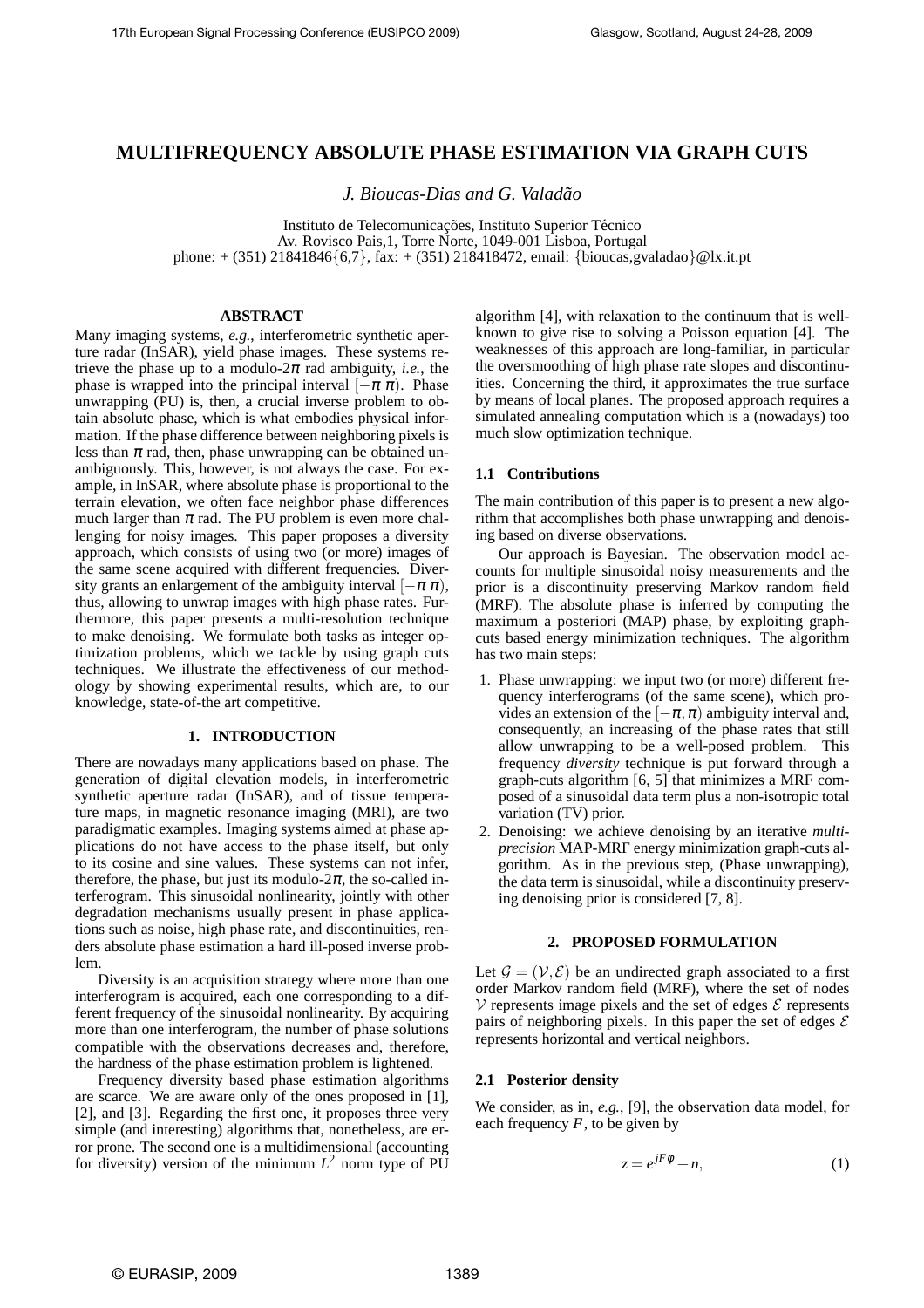# **MULTIFREQUENCY ABSOLUTE PHASE ESTIMATION VIA GRAPH CUTS**

*J. Bioucas-Dias and G. Valadao˜*

Instituto de Telecomunicações, Instituto Superior Técnico Av. Rovisco Pais,1, Torre Norte, 1049-001 Lisboa, Portugal phone: + (351) 21841846{6,7}, fax: + (351) 218418472, email: {bioucas,gvaladao}@lx.it.pt

### **ABSTRACT**

Many imaging systems, *e.g.*, interferometric synthetic aperture radar (InSAR), yield phase images. These systems retrieve the phase up to a modulo- $2\pi$  rad ambiguity, *i.e.*, the phase is wrapped into the principal interval  $[-\pi \pi)$ . Phase unwrapping (PU) is, then, a crucial inverse problem to obtain absolute phase, which is what embodies physical information. If the phase difference between neighboring pixels is less than  $\pi$  rad, then, phase unwrapping can be obtained unambiguously. This, however, is not always the case. For example, in InSAR, where absolute phase is proportional to the terrain elevation, we often face neighbor phase differences much larger than  $\pi$  rad. The PU problem is even more challenging for noisy images. This paper proposes a diversity approach, which consists of using two (or more) images of the same scene acquired with different frequencies. Diversity grants an enlargement of the ambiguity interval  $[-\pi \pi)$ , thus, allowing to unwrap images with high phase rates. Furthermore, this paper presents a multi-resolution technique to make denoising. We formulate both tasks as integer optimization problems, which we tackle by using graph cuts techniques. We illustrate the effectiveness of our methodology by showing experimental results, which are, to our knowledge, state-of-the art competitive.

#### **1. INTRODUCTION**

There are nowadays many applications based on phase. The generation of digital elevation models, in interferometric synthetic aperture radar (InSAR), and of tissue temperature maps, in magnetic resonance imaging (MRI), are two paradigmatic examples. Imaging systems aimed at phase applications do not have access to the phase itself, but only to its cosine and sine values. These systems can not infer, therefore, the phase, but just its modulo- $2\pi$ , the so-called interferogram. This sinusoidal nonlinearity, jointly with other degradation mechanisms usually present in phase applications such as noise, high phase rate, and discontinuities, renders absolute phase estimation a hard ill-posed inverse problem.

Diversity is an acquisition strategy where more than one interferogram is acquired, each one corresponding to a different frequency of the sinusoidal nonlinearity. By acquiring more than one interferogram, the number of phase solutions compatible with the observations decreases and, therefore, the hardness of the phase estimation problem is lightened.

Frequency diversity based phase estimation algorithms are scarce. We are aware only of the ones proposed in [1], [2], and [3]. Regarding the first one, it proposes three very simple (and interesting) algorithms that, nonetheless, are error prone. The second one is a multidimensional (accounting for diversity) version of the minimum  $L^2$  norm type of PU

algorithm [4], with relaxation to the continuum that is wellknown to give rise to solving a Poisson equation [4]. The weaknesses of this approach are long-familiar, in particular the oversmoothing of high phase rate slopes and discontinuities. Concerning the third, it approximates the true surface by means of local planes. The proposed approach requires a simulated annealing computation which is a (nowadays) too much slow optimization technique.

### **1.1 Contributions**

The main contribution of this paper is to present a new algorithm that accomplishes both phase unwrapping and denoising based on diverse observations.

Our approach is Bayesian. The observation model accounts for multiple sinusoidal noisy measurements and the prior is a discontinuity preserving Markov random field (MRF). The absolute phase is inferred by computing the maximum a posteriori (MAP) phase, by exploiting graphcuts based energy minimization techniques. The algorithm has two main steps:

- 1. Phase unwrapping: we input two (or more) different frequency interferograms (of the same scene), which provides an extension of the  $[-\pi,\pi)$  ambiguity interval and, consequently, an increasing of the phase rates that still allow unwrapping to be a well-posed problem. This frequency *diversity* technique is put forward through a graph-cuts algorithm [6, 5] that minimizes a MRF composed of a sinusoidal data term plus a non-isotropic total variation (TV) prior.
- 2. Denoising: we achieve denoising by an iterative *multiprecision* MAP-MRF energy minimization graph-cuts algorithm. As in the previous step, (Phase unwrapping), the data term is sinusoidal, while a discontinuity preserving denoising prior is considered [7, 8].

### **2. PROPOSED FORMULATION**

Let  $\mathcal{G} = (\mathcal{V}, \mathcal{E})$  be an undirected graph associated to a first order Markov random field (MRF), where the set of nodes  $\mathcal V$  represents image pixels and the set of edges  $\mathcal E$  represents pairs of neighboring pixels. In this paper the set of edges  $\mathcal E$ represents horizontal and vertical neighbors.

#### **2.1 Posterior density**

We consider, as in, *e.g.*, [9], the observation data model, for each frequency  $F$ , to be given by

$$
z = e^{jF\phi} + n,\tag{1}
$$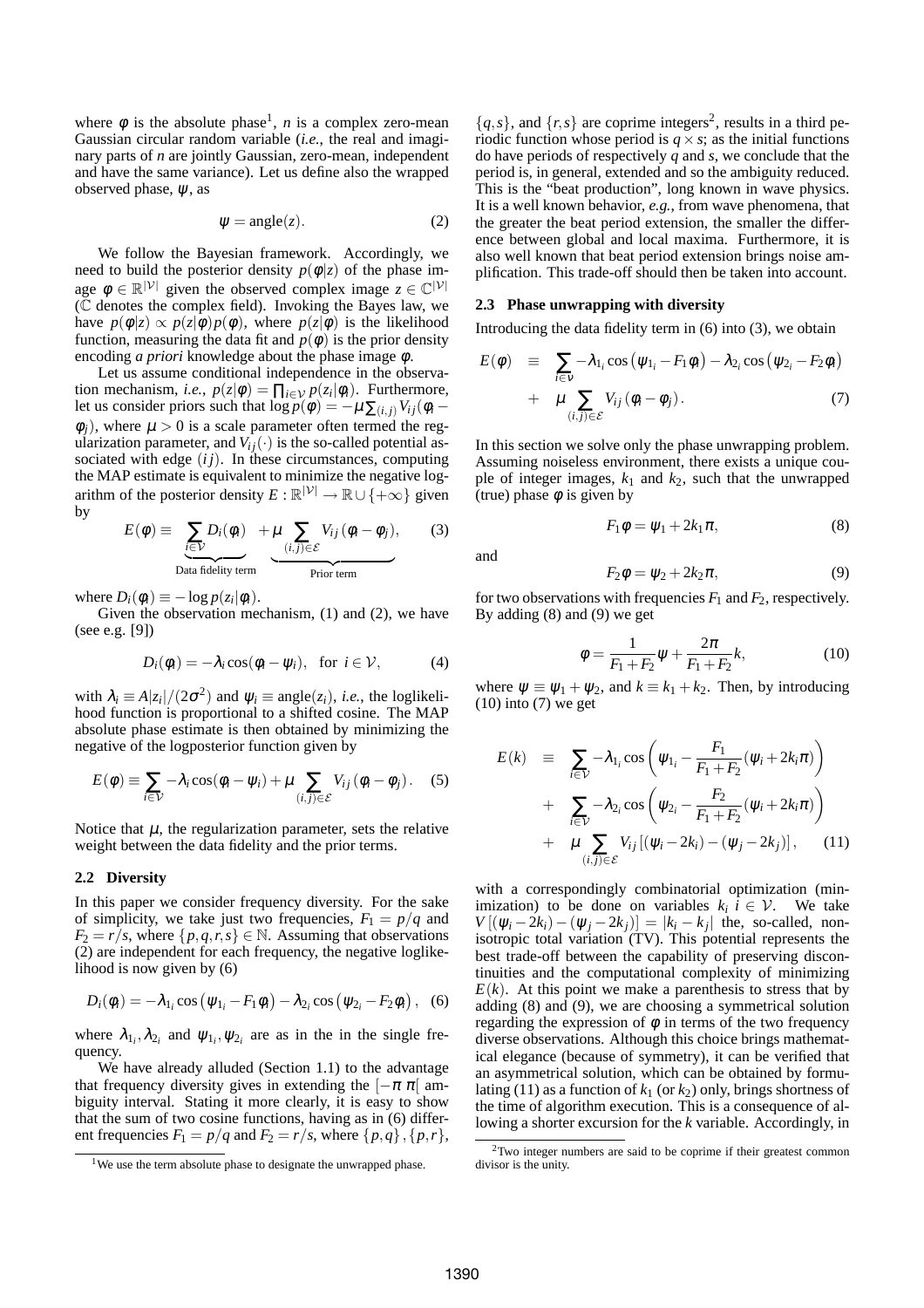where  $\phi$  is the absolute phase<sup>1</sup>, *n* is a complex zero-mean Gaussian circular random variable (*i.e.*, the real and imaginary parts of *n* are jointly Gaussian, zero-mean, independent and have the same variance). Let us define also the wrapped observed phase,  $\psi$ , as

$$
\psi = angle(z). \tag{2}
$$

We follow the Bayesian framework. Accordingly, we need to build the posterior density  $p(\phi|z)$  of the phase image  $\phi \in \mathbb{R}^{|\mathcal{V}|}$  given the observed complex image  $z \in \mathbb{C}^{|\mathcal{V}|}$  $(\bar{C})$  denotes the complex field). Invoking the Bayes law, we have  $p(\phi|z) \propto p(z|\phi)p(\phi)$ , where  $p(z|\phi)$  is the likelihood function, measuring the data fit and  $p(\phi)$  is the prior density encoding *a priori* knowledge about the phase image φ.

Let us assume conditional independence in the observation mechanism, *i.e.*,  $p(z|\phi) = \prod_{i \in \mathcal{V}} p(z_i|\phi_i)$ . Furthermore, let us consider priors such that  $\log p(\phi) = -\mu \sum_{(i,j)} V_{ij}(\phi_i - \phi_j)$  $\phi_i$ ), where  $\mu > 0$  is a scale parameter often termed the regularization parameter, and  $V_i$ <sup>*j*(.)</sup> is the so-called potential associated with edge  $(ij)$ . In these circumstances, computing the MAP estimate is equivalent to minimize the negative logarithm of the posterior density  $E: \mathbb{R}^{|\mathcal{V}|} \to \mathbb{R} \cup \{+\infty\}$  given by

$$
E(\phi) \equiv \underbrace{\sum_{i \in \mathcal{V}} D_i(\phi_i)}_{\text{Data fidelity term}} + \underbrace{\mu \sum_{(i,j) \in \mathcal{E}} V_{ij}(\phi_i - \phi_j)}_{\text{Prior term}}, \qquad (3)
$$

where  $D_i(\phi_i) \equiv -\log p(z_i|\phi_i)$ .

Given the observation mechanism, (1) and (2), we have (see e.g. [9])

$$
D_i(\phi_i) = -\lambda_i \cos(\phi_i - \psi_i), \text{ for } i \in \mathcal{V}, \tag{4}
$$

with  $\lambda_i \equiv A|z_i|/(2\sigma^2)$  and  $\psi_i \equiv \text{angle}(z_i)$ , *i.e.*, the loglikelihood function is proportional to a shifted cosine. The MAP absolute phase estimate is then obtained by minimizing the negative of the logposterior function given by

$$
E(\phi) \equiv \sum_{i \in \mathcal{V}} -\lambda_i \cos(\phi_i - \psi_i) + \mu \sum_{(i,j) \in \mathcal{E}} V_{ij} (\phi_i - \phi_j).
$$
 (5)

Notice that  $\mu$ , the regularization parameter, sets the relative weight between the data fidelity and the prior terms.

### **2.2 Diversity**

In this paper we consider frequency diversity. For the sake of simplicity, we take just two frequencies,  $F_1 = p/q$  and  $F_2 = r/s$ , where  $\{p,q,r,s\} \in \mathbb{N}$ . Assuming that observations (2) are independent for each frequency, the negative loglikelihood is now given by (6)

$$
D_i(\phi_i) = -\lambda_{1_i} \cos (\psi_{1_i} - F_1 \phi_i) - \lambda_{2_i} \cos (\psi_{2_i} - F_2 \phi_i), \quad (6)
$$

where  $\lambda_{1_i}, \lambda_{2_i}$  and  $\psi_{1_i}, \psi_{2_i}$  are as in the in the single frequency.

We have already alluded (Section 1.1) to the advantage that frequency diversity gives in extending the  $[-\pi \pi]$  ambiguity interval. Stating it more clearly, it is easy to show that the sum of two cosine functions, having as in (6) different frequencies  $F_1 = p/q$  and  $F_2 = r/s$ , where  $\{p,q\}, \{p,r\}$ ,

 $\{q, s\}$ , and  $\{r, s\}$  are coprime integers<sup>2</sup>, results in a third periodic function whose period is  $q \times s$ ; as the initial functions do have periods of respectively *q* and *s*, we conclude that the period is, in general, extended and so the ambiguity reduced. This is the "beat production", long known in wave physics. It is a well known behavior, *e.g.*, from wave phenomena, that the greater the beat period extension, the smaller the difference between global and local maxima. Furthermore, it is also well known that beat period extension brings noise amplification. This trade-off should then be taken into account.

### **2.3 Phase unwrapping with diversity**

Introducing the data fidelity term in (6) into (3), we obtain

$$
E(\phi) \equiv \sum_{i \in v} -\lambda_{1_i} \cos (\psi_{1_i} - F_1 \phi_i) - \lambda_{2_i} \cos (\psi_{2_i} - F_2 \phi_i)
$$
  
+ 
$$
\mu \sum_{(i,j) \in \mathcal{E}} V_{ij} (\phi_i - \phi_j).
$$
 (7)

In this section we solve only the phase unwrapping problem. Assuming noiseless environment, there exists a unique couple of integer images,  $k_1$  and  $k_2$ , such that the unwrapped (true) phase  $\phi$  is given by

$$
F_1 \phi = \psi_1 + 2k_1 \pi, \tag{8}
$$

and

$$
F_2 \phi = \psi_2 + 2k_2 \pi, \tag{9}
$$

for two observations with frequencies  $F_1$  and  $F_2$ , respectively. By adding (8) and (9) we get

$$
\phi = \frac{1}{F_1 + F_2} \psi + \frac{2\pi}{F_1 + F_2} k,\tag{10}
$$

where  $\psi \equiv \psi_1 + \psi_2$ , and  $k \equiv k_1 + k_2$ . Then, by introducing  $(10)$  into  $(7)$  we get

$$
E(k) \equiv \sum_{i \in \mathcal{V}} -\lambda_{1_i} \cos \left( \psi_{1_i} - \frac{F_1}{F_1 + F_2} (\psi_i + 2k_i \pi) \right)
$$
  
+ 
$$
\sum_{i \in \mathcal{V}} -\lambda_{2_i} \cos \left( \psi_{2_i} - \frac{F_2}{F_1 + F_2} (\psi_i + 2k_i \pi) \right)
$$
  
+ 
$$
\mu \sum_{(i,j) \in \mathcal{E}} V_{ij} [(\psi_i - 2k_i) - (\psi_j - 2k_j)], \quad (11)
$$

with a correspondingly combinatorial optimization (minimization) to be done on variables  $k_i$   $i \in \mathcal{V}$ . We take  $V[(\psi_i - 2k_i) - (\psi_j - 2k_j)] = |k_i - k_j|$  the, so-called, nonisotropic total variation (TV). This potential represents the best trade-off between the capability of preserving discontinuities and the computational complexity of minimizing  $E(k)$ . At this point we make a parenthesis to stress that by adding (8) and (9), we are choosing a symmetrical solution regarding the expression of  $\phi$  in terms of the two frequency diverse observations. Although this choice brings mathematical elegance (because of symmetry), it can be verified that an asymmetrical solution, which can be obtained by formulating (11) as a function of  $k_1$  (or  $k_2$ ) only, brings shortness of the time of algorithm execution. This is a consequence of allowing a shorter excursion for the *k* variable. Accordingly, in

<sup>&</sup>lt;sup>1</sup>We use the term absolute phase to designate the unwrapped phase.

<sup>2</sup>Two integer numbers are said to be coprime if their greatest common divisor is the unity.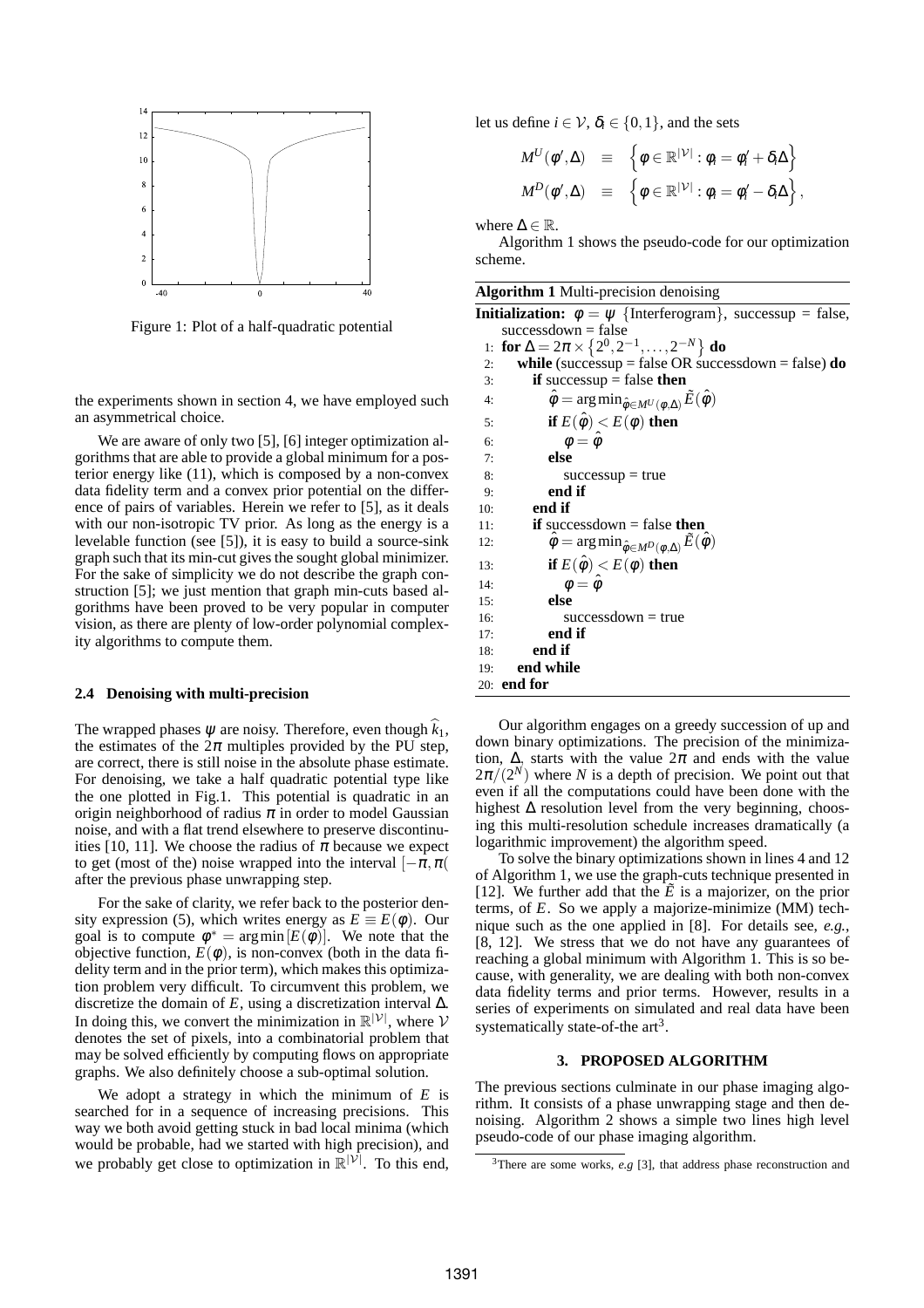

Figure 1: Plot of a half-quadratic potential

the experiments shown in section 4, we have employed such an asymmetrical choice.

We are aware of only two [5], [6] integer optimization algorithms that are able to provide a global minimum for a posterior energy like (11), which is composed by a non-convex data fidelity term and a convex prior potential on the difference of pairs of variables. Herein we refer to [5], as it deals with our non-isotropic TV prior. As long as the energy is a levelable function (see [5]), it is easy to build a source-sink graph such that its min-cut gives the sought global minimizer. For the sake of simplicity we do not describe the graph construction [5]; we just mention that graph min-cuts based algorithms have been proved to be very popular in computer vision, as there are plenty of low-order polynomial complexity algorithms to compute them.

#### **2.4 Denoising with multi-precision**

The wrapped phases  $\psi$  are noisy. Therefore, even though  $k_1$ , the estimates of the  $2\pi$  multiples provided by the PU step, are correct, there is still noise in the absolute phase estimate. For denoising, we take a half quadratic potential type like the one plotted in Fig.1. This potential is quadratic in an origin neighborhood of radius  $\pi$  in order to model Gaussian noise, and with a flat trend elsewhere to preserve discontinuities [10, 11]. We choose the radius of  $\pi$  because we expect to get (most of the) noise wrapped into the interval  $[-\pi, \pi($ after the previous phase unwrapping step.

For the sake of clarity, we refer back to the posterior density expression (5), which writes energy as  $E \equiv E(\phi)$ . Our goal is to compute  $\phi^* = \arg \min [E(\phi)]$ . We note that the objective function,  $E(\phi)$ , is non-convex (both in the data fidelity term and in the prior term), which makes this optimization problem very difficult. To circumvent this problem, we discretize the domain of *E*, using a discretization interval ∆. In doing this, we convert the minimization in  $\mathbb{R}^{|\mathcal{V}|}$ , where  $\mathcal{V}$ denotes the set of pixels, into a combinatorial problem that may be solved efficiently by computing flows on appropriate graphs. We also definitely choose a sub-optimal solution.

We adopt a strategy in which the minimum of *E* is searched for in a sequence of increasing precisions. This way we both avoid getting stuck in bad local minima (which would be probable, had we started with high precision), and we probably get close to optimization in  $\mathbb{R}^{|\mathcal{V}|}$ . To this end,

let us define  $i \in \mathcal{V}$ ,  $\delta_i \in \{0, 1\}$ , and the sets

$$
M^{U}(\phi', \Delta) \equiv \left\{ \phi \in \mathbb{R}^{|\mathcal{V}|} : \phi_{i} = \phi'_{i} + \delta_{i} \Delta \right\}
$$
  

$$
M^{D}(\phi', \Delta) \equiv \left\{ \phi \in \mathbb{R}^{|\mathcal{V}|} : \phi_{i} = \phi'_{i} - \delta_{i} \Delta \right\},
$$

where  $\Delta \in \mathbb{R}$ .

Algorithm 1 shows the pseudo-code for our optimization scheme.

| <b>Algorithm 1</b> Multi-precision denoising                                             |
|------------------------------------------------------------------------------------------|
| <b>Initialization:</b> $\phi = \psi$ {Interferogram}, successup = false,                 |
| successdown $=$ false                                                                    |
| 1: for $\Delta = 2\pi \times \{2^0, 2^{-1}, \ldots, 2^{-N}\}\$ do                        |
| while (successup = false OR successdown = false) $do$<br>2:                              |
| if successup $=$ false then<br>3:                                                        |
| $\hat{\phi} = \arg \min_{\hat{\phi} \in M^U(\phi, \Delta)} \tilde{E}(\hat{\phi})$<br>4:  |
| if $E(\hat{\phi}) < E(\phi)$ then<br>5:                                                  |
| $\phi = \hat{\phi}$<br>6:                                                                |
| else<br>7:                                                                               |
| 8:<br>$successup = true$                                                                 |
| end if<br>9:                                                                             |
| end if<br>10:                                                                            |
| <b>if</b> successdown = false <b>then</b><br>11:                                         |
| $\hat{\phi} = \arg \min_{\hat{\phi} \in M^D(\phi, \Delta)} \tilde{E}(\hat{\phi})$<br>12: |
| if $E(\hat{\phi}) < E(\phi)$ then<br>13:                                                 |
| $\phi = \hat{\phi}$<br>14:                                                               |
| else<br>15:                                                                              |
| $successdown = true$<br>16:                                                              |
| end if<br>17:                                                                            |
| end if<br>18:                                                                            |
| end while<br>19:                                                                         |
| $20:$ end for                                                                            |

Our algorithm engages on a greedy succession of up and down binary optimizations. The precision of the minimization,  $\Delta$ , starts with the value  $2\pi$  and ends with the value  $2\pi/(2^N)$  where *N* is a depth of precision. We point out that even if all the computations could have been done with the highest  $\Delta$  resolution level from the very beginning, choosing this multi-resolution schedule increases dramatically (a logarithmic improvement) the algorithm speed.

To solve the binary optimizations shown in lines 4 and 12 of Algorithm 1, we use the graph-cuts technique presented in [12]. We further add that the  $\tilde{E}$  is a majorizer, on the prior terms, of *E*. So we apply a majorize-minimize (MM) technique such as the one applied in [8]. For details see, *e.g.*, [8, 12]. We stress that we do not have any guarantees of reaching a global minimum with Algorithm 1. This is so because, with generality, we are dealing with both non-convex data fidelity terms and prior terms. However, results in a series of experiments on simulated and real data have been systematically state-of-the  $art^3$ .

## **3. PROPOSED ALGORITHM**

The previous sections culminate in our phase imaging algorithm. It consists of a phase unwrapping stage and then denoising. Algorithm 2 shows a simple two lines high level pseudo-code of our phase imaging algorithm.

<sup>&</sup>lt;sup>3</sup>There are some works,  $e.g$  [3], that address phase reconstruction and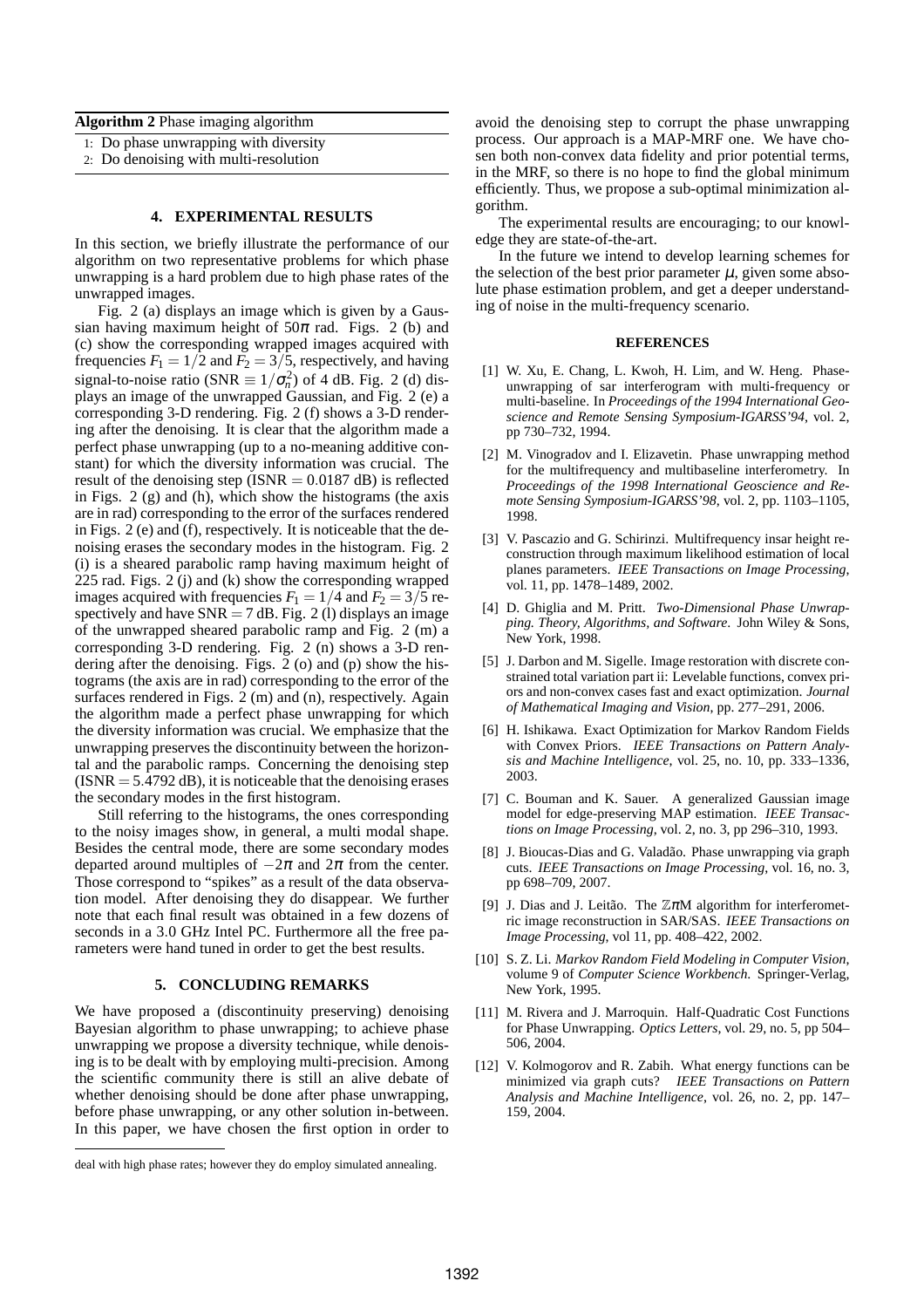**Algorithm 2** Phase imaging algorithm

- 1: Do phase unwrapping with diversity
- 2: Do denoising with multi-resolution

#### **4. EXPERIMENTAL RESULTS**

In this section, we briefly illustrate the performance of our algorithm on two representative problems for which phase unwrapping is a hard problem due to high phase rates of the unwrapped images.

Fig. 2 (a) displays an image which is given by a Gaussian having maximum height of  $50\pi$  rad. Figs. 2 (b) and (c) show the corresponding wrapped images acquired with frequencies  $F_1 = 1/2$  and  $F_2 = 3/5$ , respectively, and having signal-to-noise ratio (SNR  $\equiv 1/\sigma_n^2$ ) of 4 dB. Fig. 2 (d) displays an image of the unwrapped Gaussian, and Fig. 2 (e) a corresponding 3-D rendering. Fig. 2 (f) shows a 3-D rendering after the denoising. It is clear that the algorithm made a perfect phase unwrapping (up to a no-meaning additive constant) for which the diversity information was crucial. The result of the denoising step (ISNR  $= 0.0187$  dB) is reflected in Figs. 2 (g) and (h), which show the histograms (the axis are in rad) corresponding to the error of the surfaces rendered in Figs. 2 (e) and (f), respectively. It is noticeable that the denoising erases the secondary modes in the histogram. Fig. 2 (i) is a sheared parabolic ramp having maximum height of 225 rad. Figs. 2 (j) and (k) show the corresponding wrapped images acquired with frequencies  $F_1 = 1/4$  and  $F_2 = 3/5$  respectively and have  $SNR = 7$  dB. Fig. 2 (1) displays an image of the unwrapped sheared parabolic ramp and Fig. 2 (m) a corresponding 3-D rendering. Fig. 2 (n) shows a 3-D rendering after the denoising. Figs. 2 (o) and (p) show the histograms (the axis are in rad) corresponding to the error of the surfaces rendered in Figs. 2 (m) and (n), respectively. Again the algorithm made a perfect phase unwrapping for which the diversity information was crucial. We emphasize that the unwrapping preserves the discontinuity between the horizontal and the parabolic ramps. Concerning the denoising step  $(ISNR = 5.4792 dB)$ , it is noticeable that the denoising erases the secondary modes in the first histogram.

Still referring to the histograms, the ones corresponding to the noisy images show, in general, a multi modal shape. Besides the central mode, there are some secondary modes departed around multiples of  $-2\pi$  and  $2\pi$  from the center. Those correspond to "spikes" as a result of the data observation model. After denoising they do disappear. We further note that each final result was obtained in a few dozens of seconds in a 3.0 GHz Intel PC. Furthermore all the free parameters were hand tuned in order to get the best results.

### **5. CONCLUDING REMARKS**

We have proposed a (discontinuity preserving) denoising Bayesian algorithm to phase unwrapping; to achieve phase unwrapping we propose a diversity technique, while denoising is to be dealt with by employing multi-precision. Among the scientific community there is still an alive debate of whether denoising should be done after phase unwrapping, before phase unwrapping, or any other solution in-between. In this paper, we have chosen the first option in order to

avoid the denoising step to corrupt the phase unwrapping process. Our approach is a MAP-MRF one. We have chosen both non-convex data fidelity and prior potential terms, in the MRF, so there is no hope to find the global minimum efficiently. Thus, we propose a sub-optimal minimization algorithm.

The experimental results are encouraging; to our knowledge they are state-of-the-art.

In the future we intend to develop learning schemes for the selection of the best prior parameter  $\mu$ , given some absolute phase estimation problem, and get a deeper understanding of noise in the multi-frequency scenario.

#### **REFERENCES**

- [1] W. Xu, E. Chang, L. Kwoh, H. Lim, and W. Heng. Phaseunwrapping of sar interferogram with multi-frequency or multi-baseline. In *Proceedings of the 1994 International Geoscience and Remote Sensing Symposium-IGARSS'94*, vol. 2, pp 730–732, 1994.
- [2] M. Vinogradov and I. Elizavetin. Phase unwrapping method for the multifrequency and multibaseline interferometry. In *Proceedings of the 1998 International Geoscience and Remote Sensing Symposium-IGARSS'98*, vol. 2, pp. 1103–1105, 1998.
- [3] V. Pascazio and G. Schirinzi. Multifrequency insar height reconstruction through maximum likelihood estimation of local planes parameters. *IEEE Transactions on Image Processing*, vol. 11, pp. 1478–1489, 2002.
- [4] D. Ghiglia and M. Pritt. *Two-Dimensional Phase Unwrapping. Theory, Algorithms, and Software*. John Wiley & Sons, New York, 1998.
- [5] J. Darbon and M. Sigelle. Image restoration with discrete constrained total variation part ii: Levelable functions, convex priors and non-convex cases fast and exact optimization. *Journal of Mathematical Imaging and Vision*, pp. 277–291, 2006.
- [6] H. Ishikawa. Exact Optimization for Markov Random Fields with Convex Priors. *IEEE Transactions on Pattern Analysis and Machine Intelligence*, vol. 25, no. 10, pp. 333–1336, 2003.
- [7] C. Bouman and K. Sauer. A generalized Gaussian image model for edge-preserving MAP estimation. *IEEE Transactions on Image Processing*, vol. 2, no. 3, pp 296–310, 1993.
- [8] J. Bioucas-Dias and G. Valadão. Phase unwrapping via graph cuts. *IEEE Transactions on Image Processing*, vol. 16, no. 3, pp 698–709, 2007.
- [9] J. Dias and J. Leitão. The  $\mathbb{Z} \pi M$  algorithm for interferometric image reconstruction in SAR/SAS. *IEEE Transactions on Image Processing*, vol 11, pp. 408–422, 2002.
- [10] S. Z. Li. *Markov Random Field Modeling in Computer Vision*, volume 9 of *Computer Science Workbench*. Springer-Verlag, New York, 1995.
- [11] M. Rivera and J. Marroquin. Half-Quadratic Cost Functions for Phase Unwrapping. *Optics Letters*, vol. 29, no. 5, pp 504– 506, 2004.
- [12] V. Kolmogorov and R. Zabih. What energy functions can be minimized via graph cuts? *IEEE Transactions on Pattern Analysis and Machine Intelligence*, vol. 26, no. 2, pp. 147– 159, 2004.

deal with high phase rates; however they do employ simulated annealing.